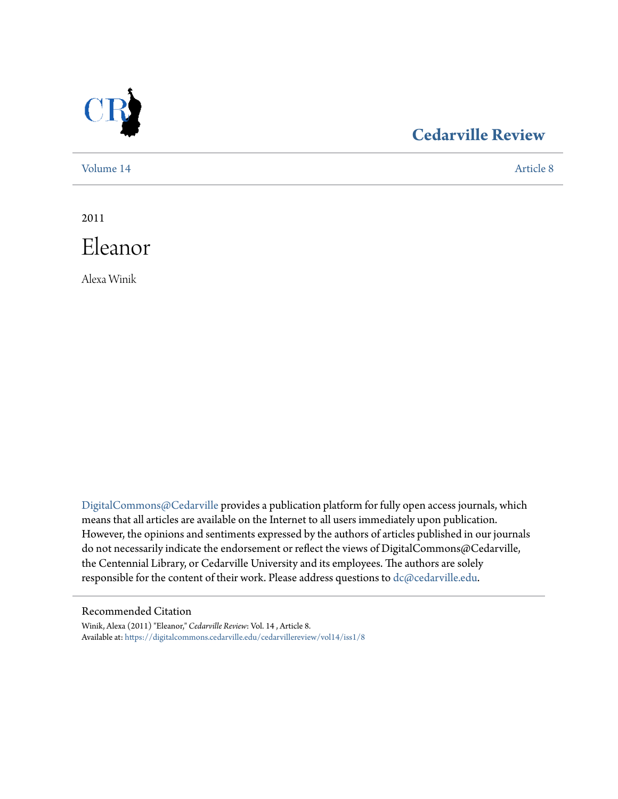

# **[Cedarville Review](https://digitalcommons.cedarville.edu/cedarvillereview?utm_source=digitalcommons.cedarville.edu%2Fcedarvillereview%2Fvol14%2Fiss1%2F8&utm_medium=PDF&utm_campaign=PDFCoverPages)**

[Volume 14](https://digitalcommons.cedarville.edu/cedarvillereview/vol14?utm_source=digitalcommons.cedarville.edu%2Fcedarvillereview%2Fvol14%2Fiss1%2F8&utm_medium=PDF&utm_campaign=PDFCoverPages) [Article 8](https://digitalcommons.cedarville.edu/cedarvillereview/vol14/iss1/8?utm_source=digitalcommons.cedarville.edu%2Fcedarvillereview%2Fvol14%2Fiss1%2F8&utm_medium=PDF&utm_campaign=PDFCoverPages)

2011



Alexa Winik

[DigitalCommons@Cedarville](http://digitalcommons.cedarville.edu) provides a publication platform for fully open access journals, which means that all articles are available on the Internet to all users immediately upon publication. However, the opinions and sentiments expressed by the authors of articles published in our journals do not necessarily indicate the endorsement or reflect the views of DigitalCommons@Cedarville, the Centennial Library, or Cedarville University and its employees. The authors are solely responsible for the content of their work. Please address questions to [dc@cedarville.edu](mailto:dc@cedarville.edu).

#### Recommended Citation

Winik, Alexa (2011) "Eleanor," *Cedarville Review*: Vol. 14 , Article 8. Available at: [https://digitalcommons.cedarville.edu/cedarvillereview/vol14/iss1/8](https://digitalcommons.cedarville.edu/cedarvillereview/vol14/iss1/8?utm_source=digitalcommons.cedarville.edu%2Fcedarvillereview%2Fvol14%2Fiss1%2F8&utm_medium=PDF&utm_campaign=PDFCoverPages)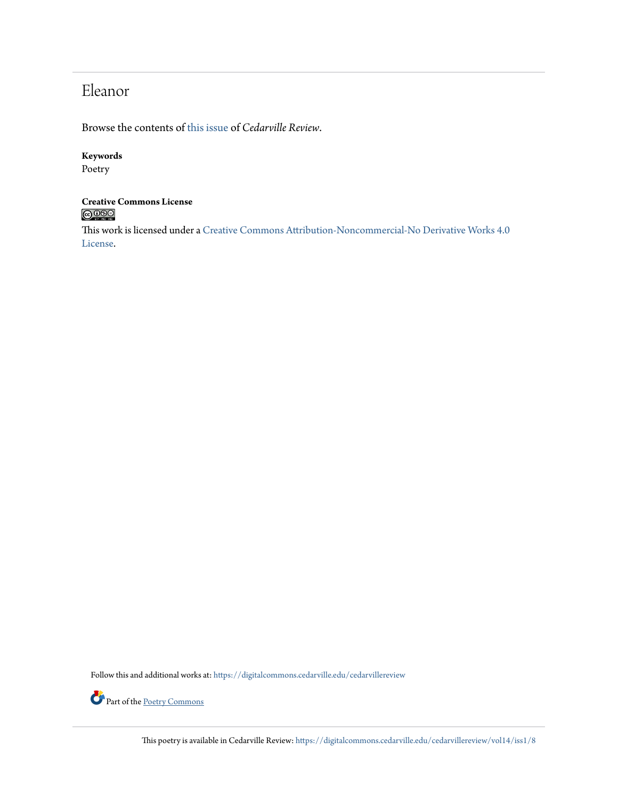# Eleanor

Browse the contents of [this issue](https://digitalcommons.cedarville.edu/cedarvillereview/vol14/iss1) of *Cedarville Review*.

### **Keywords**

Poetry

### **Creative Commons License**  $\bigcirc$  000

This work is licensed under a [Creative Commons Attribution-Noncommercial-No Derivative Works 4.0](http://creativecommons.org/licenses/by-nc-nd/4.0/) [License.](http://creativecommons.org/licenses/by-nc-nd/4.0/)

Follow this and additional works at: [https://digitalcommons.cedarville.edu/cedarvillereview](https://digitalcommons.cedarville.edu/cedarvillereview?utm_source=digitalcommons.cedarville.edu%2Fcedarvillereview%2Fvol14%2Fiss1%2F8&utm_medium=PDF&utm_campaign=PDFCoverPages)



This poetry is available in Cedarville Review: [https://digitalcommons.cedarville.edu/cedarvillereview/vol14/iss1/8](https://digitalcommons.cedarville.edu/cedarvillereview/vol14/iss1/8?utm_source=digitalcommons.cedarville.edu%2Fcedarvillereview%2Fvol14%2Fiss1%2F8&utm_medium=PDF&utm_campaign=PDFCoverPages)